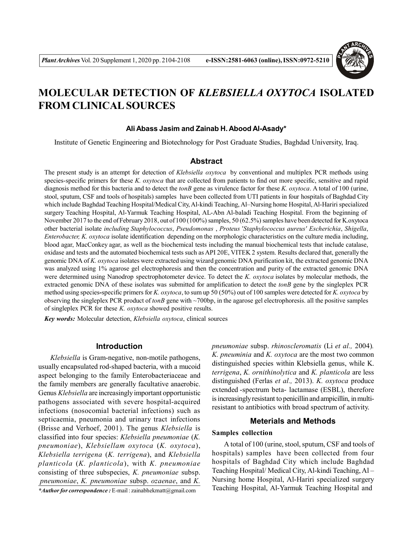

# **MOLECULAR DETECTION OF** *KLEBSIELLA OXYTOCA* **ISOLATED FROM CLINICAL SOURCES**

#### **Ali Abass Jasim and Zainab H. Abood Al-Asady\***

Institute of Genetic Engineering and Biotechnology for Post Graduate Studies, Baghdad University, Iraq.

## **Abstract**

The present study is an attempt for detection of *Klebsiella oxytoca* by conventional and multiplex PCR methods using species-specific primers for these *K. oxytoca* that are collected from patients to find out more specific, sensitive and rapid diagnosis method for this bacteria and to detect the *tonB* gene as virulence factor for these *K. oxytoca*. A total of 100 (urine, stool, sputum, CSF and tools of hospitals) samples have been collected from UTI patients in four hospitals of Baghdad City which include Baghdad Teaching Hospital/Medical City, Al-kindi Teaching, Al–Nursing home Hospital, Al-Hariri specialized surgery Teaching Hospital, Al-Yarmuk Teaching Hospital, AL-Abn Al-baladi Teaching Hospital. From the beginning of November 2017 to the end of February 2018, out of 100 (100%) samples, 50 (62.5%) samples have been detected for K.oxytoca other bacterial isolate *including Staphylococcus*, *Pseudomonas* , *Proteus* '*Staphylococcus aureus' Escherichia*, *Shigella*, *Enterobacter, K. oxytoca* isolate identification depending on the morphologic characteristics on the culture media including, blood agar, MacConkey agar, as well as the biochemical tests including the manual biochemical tests that include catalase, oxidase and tests and the automated biochemical tests such as API 20E, VITEK 2 system. Results declared that, generally the genomic DNA of *K. oxytoca* isolates were extracted using wizard genomic DNA purification kit, the extracted genomic DNA was analyzed using 1% agarose gel electrophoresis and then the concentration and purity of the extracted genomic DNA were determined using Nanodrop spectrophotometer device. To detect the *K. oxytoca* isolates by molecular methods, the extracted genomic DNA of these isolates was submitted for amplification to detect the *tonB* gene by the singleplex PCR method using species**-**specific primers for *K. oxytoca*, to sum up 50 (50%) out of 100 samples were detected for *K. oxytoca* by observing the singleplex PCR product of *tonB* gene with ~700bp, in the agarose gel electrophoresis. all the positive samples of singleplex PCR for these *K. oxytoca* showed positive results.

*Key words:* Molecular detection, *Klebsiella oxytoca*, clinical sources

## **Introduction**

*Klebsiella* is Gram-negative, non-motile pathogens, usually encapsulated rod-shaped bacteria, with a mucoid aspect belonging to the family Enterobacteriaceae and the family members are generally facultative anaerobic. Genus *Klebsiella* are increasingly important opportunistic pathogens associated with severe hospital-acquired infections (nosocomial bacterial infections) such as septicaemia, pneumonia and urinary tract infections (Brisse and Verhoef, 2001). The genus *Klebsiella* is classified into four species: *Klebsiella pneumoniae* (*K. pneumoniae*), *Klebsiellam oxytoca* (*K. oxytoca*), *Klebsiella terrigena* (*K. terrigena*), and *Klebsiella planticola* (*K. planticola*), with *K. pneumoniae* consisting of three subspecies, *K. pneumoniae* subsp. *pneumoniae*, *K. pneumoniae* subsp. *ozaenae*, and *K. \*Author for correspondence :* E-mail : zainabhekmatt@gmail.com

*pneumoniae* subsp. *rhinoscleromatis* (Li *et al.,* 2004)*. K. pneuminia* and *K. oxytoca* are the most two common distinguished species within Klebsiella genus, while K. *terrigena*, *K. ornithinolytica* and *K. planticola* are less distinguished (Ferlas *et al.,* 2013). *K. oxytoca* produce extended -spectrum beta- lactamase (ESBL), therefore is increasingly resistant to penicillin and ampicillin, in multiresistant to antibiotics with broad spectrum of activity.

#### **Meterials and Methods**

## **Samples collection**

A total of 100 (urine, stool, sputum, CSF and tools of hospitals) samples have been collected from four hospitals of Baghdad City which include Baghdad Teaching Hospital/ Medical City, Al-kindi Teaching, Al – Nursing home Hospital, Al-Hariri specialized surgery Teaching Hospital, Al-Yarmuk Teaching Hospital and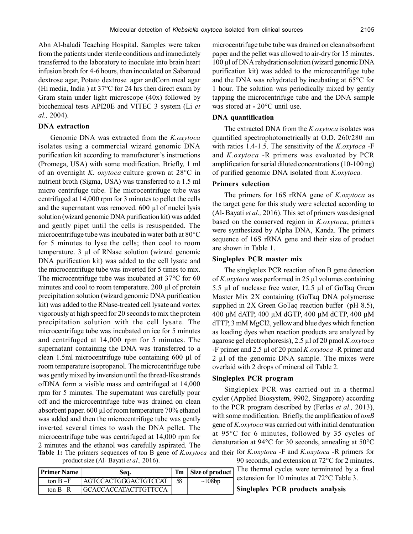Abn Al-baladi Teaching Hospital. Samples were taken from the patients under sterile conditions and immediately transferred to the laboratory to inoculate into brain heart infusion broth for 4-6 hours, then inoculated on Sabaroud dextrose agar, Potato dextrose agar andCorn meal agar (Hi media, India) at  $37^{\circ}$ C for 24 hrs then direct exam by Gram stain under light microscope (40x) followed by biochemical tests API20E and VITEC 3 system (Li *et al.,* 2004).

## **DNA extraction**

Genomic DNA was extracted from the *K.oxytoca* isolates using a commercial wizard genomic DNA purification kit according to manufacturer's instructions (Promega, USA) with some modification. Briefly, 1 ml of an overnight *K. oxytoca* culture grown at 28°C in nutrient broth (Sigma, USA) was transferred to a 1.5 ml micro centrifuge tube. The microcentrifuge tube was centrifuged at 14,000 rpm for 3 minutes to pellet the cells and the supernatant was removed.  $600 \mu l$  of nuclei lysis solution (wizard genomic DNA purification kit) was added and gently pipet until the cells is resuspended. The microcentrifuge tube was incubated in water bath at 80°C for 5 minutes to lyse the cells; then cool to room temperature. 3 µl of RNase solution (wizard genomic DNA purification kit) was added to the cell lysate and the microcentrifuge tube was inverted for 5 times to mix. The microcentrifuge tube was incubated at 37°C for 60 minutes and cool to room temperature. 200 µl of protein precipitation solution (wizard genomic DNA purification kit) was added to the RNase-treated cell lysate and vortex vigorously at high speed for 20 seconds to mix the protein precipitation solution with the cell lysate. The microcentrifuge tube was incubated on ice for 5 minutes and centrifuged at 14,000 rpm for 5 minutes. The supernatant containing the DNA was transferred to a clean 1.5ml microcentrifuge tube containing 600 µl of room temperature isopropanol. The microcentrifuge tube was gently mixed by inversion until the thread-like strands ofDNA form a visible mass and centrifuged at 14,000 rpm for 5 minutes. The supernatant was carefully pour off and the microcentrifuge tube was drained on clean absorbent paper. 600 µl of room temperature 70% ethanol was added and then the microcentrifuge tube was gently inverted several times to wash the DNA pellet. The microcentrifuge tube was centrifuged at 14,000 rpm for 2 minutes and the ethanol was carefully aspirated. The **Table 1:** The primers sequences of ton B gene of *K.oxytoca* and their for *K.oxytoca* -F and *K.oxytoca* -R primers for

product size (Al- Bayati *et al.,* 2016).

| <b>Primer Name</b> | Seq.                  |    | Tm   Size of product |
|--------------------|-----------------------|----|----------------------|
| ton $B-F$          | AGTCCACTGGGACTGTCCAT  | 58 | $\sim 108bp$         |
| ton $B - R$        | GCACCACCATACTTGTTCCA_ |    |                      |

microcentrifuge tube tube was drained on clean absorbent paper and the pellet was allowed to air-dry for 15 minutes. 100 µl of DNA rehydration solution (wizard genomic DNA purification kit) was added to the microcentrifuge tube and the DNA was rehydrated by incubating at 65°C for 1 hour. The solution was periodically mixed by gently tapping the microcentrifuge tube and the DNA sample was stored at **-** 20°C until use.

## **DNA quantification**

The extracted DNA from the *K.oxytoca* isolates was quantified spectrophotometrically at O.D. 260/280 nm with ratios 1.4-1.5. The sensitivity of the *K.oxytoca* -F and *K.oxytoca* -R primers was evaluated by PCR amplification for serial diluted concentrations (10-100 ng) of purified genomic DNA isolated from *K.oxytoca.*

### **Primers selection**

The primers for 16S rRNA gene of *K.oxytoca* as the target gene for this study were selected according to (Al- Bayati *et al.,* 2016). This set of primers was designed based on the conserved region in *K.oxytoca*, primers were synthesized by Alpha DNA, Kanda. The primers sequence of 16S rRNA gene and their size of product are shown in Table 1.

#### **Singleplex PCR master mix**

The singleplex PCR reaction of ton B gene detection of *K.oxytoca* was performed in 25 µl volumes containing 5.5 µl of nuclease free water, 12.5 µl of GoTaq Green Master Mix 2X containing (GoTaq DNA polymerase supplied in 2X Green GoTaq reaction buffer (pH 8.5), 400 µM dATP, 400 µM dGTP, 400 µM dCTP, 400 µM dTTP, 3 mM MgCl2, yellow and blue dyes which function as loading dyes when reaction products are analyzed by agarose gel electrophoresis), 2.5 µl of 20 pmol *K.oxytoca* -F primer and 2.5 µl of 20 pmol *K.oxytoca* -R primer and 2 µl of the genomic DNA sample. The mixes were overlaid with 2 drops of mineral oil Table 2.

## **Singleplex PCR program**

Singleplex PCR was carried out in a thermal cycler (Applied Biosystem, 9902, Singapore) according to the PCR program described by (Ferlas *et al.,* 2013), with some modification. Briefly, the amplification of *tonB* gene of *K.oxytoca* was carried out with initial denaturation at 95°C for 6 minutes, followed by 35 cycles of denaturation at 94°C for 30 seconds, annealing at 50°C

> 90 seconds, and extension at 72°C for 2 minutes. The thermal cycles were terminated by a final extension for 10 minutes at 72°C Table 3.

## **Singleplex PCR products analysis**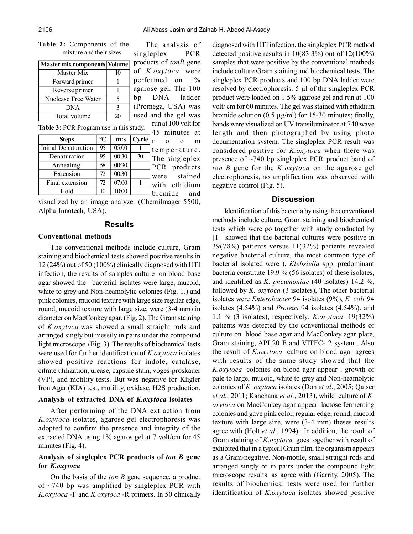The analysis of singleplex PCR

run at 100 volt for

**Table 2:** Components of the mixture and their sizes.

|                     |               | Master mix components Volume products of tonB gene |
|---------------------|---------------|----------------------------------------------------|
| Master Mix          | 10            | of K.oxytoca were                                  |
| Forward primer      | $\mathbf{1}$  | performed on 1%                                    |
| Reverse primer      | $\mathbf{1}$  | agarose gel. The 100                               |
| Nuclease Free Water | $\sim$        | bp DNA ladder                                      |
| <b>DNA</b>          | $\mathcal{F}$ | [ (Promega, USA) was                               |
| Total volume        | 20            | used and the gel was                               |

**Table 3:** PCR Program use in this study.

| <b>Table 3:</b> PUR Program use in this study. |       |    |                                            |  |
|------------------------------------------------|-------|----|--------------------------------------------|--|
| $\mathcal{C}$                                  | m:s   |    | 45 minutes at<br>m<br>$\Omega$<br>$\Omega$ |  |
| 95<br>Initial Denaturation                     | 05:00 |    | temperature.                               |  |
| 95                                             | 00:30 | 30 | The singleplex                             |  |
| 58                                             | 00:30 |    | PCR products                               |  |
| 72                                             | 00:30 |    | were stained                               |  |
| 72                                             | 07:00 |    | with ethidium                              |  |
| 10                                             | 10:00 |    | bromide<br>and                             |  |
|                                                |       |    | $Cycle _r$                                 |  |

visualized by an image analyzer (ChemiImager 5500, Alpha Innotech, USA).

#### **Results**

#### **Conventional methods**

The conventional methods include culture, Gram staining and biochemical tests showed positive results in 12 (24%) out of 50 (100%) clinically diagnosed with UTI infection, the results of samples culture on blood base agar showed the bacterial isolates were large, mucoid, white to grey and Non-heamolytic colonies (Fig. 1.) and pink colonies, mucoid texture with large size regular edge, round, mucoid texture with large size, were (3-4 mm) in diameter on MacConkey agar. (Fig. 2). The Gram staining of *K.oxytoca* was showed a small straight rods and arranged singly but messily in pairs under the compound light microscope. (Fig. 3). The results of biochemical tests were used for further identification of *K.oxytoca* isolates showed positive reactions for indole, catalase, citrate utilization, urease, capsule stain, voges-proskauer (VP), and motility tests. But was negative for Kligler Iron Agar (KIA) test, motility, oxidase, H2S production.

### **Analysis of extracted DNA of** *K.oxytoca* **isolates**

After performing of the DNA extraction from *K.oxytoca* isolates, agarose gel electrophoresis was adopted to confirm the presence and integrity of the extracted DNA using 1% agaros gel at 7 volt/cm for 45 minutes (Fig. 4).

# **Analysis of singleplex PCR products of** *ton B* **gene for** *K.oxytoca*

On the basis of the *ton B* gene sequence, a product of  $\sim$ 740 bp was amplified by singleplex PCR with *K.oxytoca* -F and *K.oxytoca* -R primers. In 50 clinically diagnosed with UTI infection, the singleplex PCR method detected positive results in 10(83.3%) out of 12(100%) samples that were positive by the conventional methods include culture Gram staining and biochemical tests. The singleplex PCR products and 100 bp DNA ladder were resolved by electrophoresis. 5 µl of the singleplex PCR product were loaded on 1.5% agarose gel and run at 100 volt/ cm for 60 minutes. The gel was stained with ethidium bromide solution  $(0.5 \text{ µg/ml})$  for 15-30 minutes; finally, bands were visualized on UV transiluminator at 740 wave length and then photographed by using photo documentation system. The singleplex PCR result was considered positive for *K.oxytoca* when there was presence of ~740 bp singleplex PCR product band of *ton B* gene for the *K.oxytoca* on the agarose gel electrophoresis, no amplification was observed with negative control (Fig. 5).

## **Discussion**

Identification of this bacteria by using the conventional methods include culture, Gram staining and biochemical tests which were go together with study conducted by [1] showed that the bacterial cultures were positive in 39(78%) patients versus 11(32%) patients revealed negative bacterial culture, the most common type of bacterial isolated were ), *Klebsiella* spp. predominant bacteria constitute 19.9 % (56 isolates) of these isolates, and identified as *K. pneumoniae* (40 isolates) 14.2 %, followed by *K. oxytoca* (3 isolates), The other bacterial isolates were *Enterobacter* 94 isolates (9%), *E. coli* 94 isolates (4.54%) and *Proteus* 94 isolates (4.54%). and 1.1 % (3 isolates), respectively*. K.oxytoca*  19(32%) patients was detected by the conventional methods of culture on blood base agar and MacConkey agar plate, Gram staining, API 20 E and VITEC- 2 system . Also the result of *K.oxytoca* culture on blood agar agrees with results of the same study showed that the *K.oxytoca* colonies on blood agar appear . growth of pale to large, mucoid, white to grey and Non-heamolytic colonies of *K. oxytoca* isolates (Don *et al*., 2005; Qaiser *et al.*, 2011; Kanchana *et al.*, 2013), while culture of *K. oxytoca* on MacConkey agar appear lactose fermenting colonies and gave pink color, regular edge, round, mucoid texture with large size, were (3-4 mm) theses results agree with (Holt *et al*., 1994). In addition, the result of Gram staining of *K.oxytoca* goes together with result of exhibited that in a typical Gram film, the organism appears as a Gram-negative. Non-motile, small straight rods and arranged singly or in pairs under the compound light microscope results as agree with (Garrity, 2005). The results of biochemical tests were used for further identification of *K.oxytoca* isolates showed positive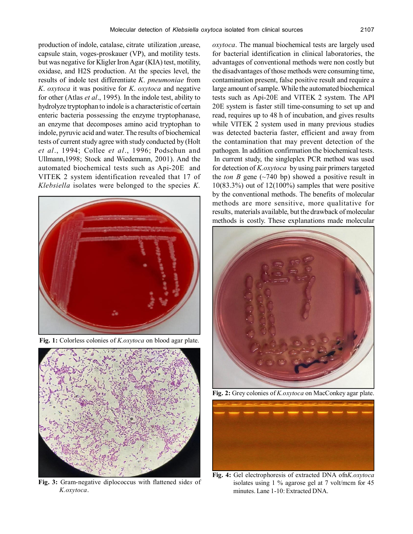production of indole, catalase, citrate utilization ,urease, capsule stain, voges-proskauer (VP), and motility tests. but was negative for Kligler Iron Agar (KIA) test, motility, oxidase, and H2S production. At the species level, the results of indole test differentiate *K*. *pneumoniae* from *K*. *oxytoca* it was positive for *K*. *oxytoca* and negative for other (Atlas *et al*., 1995)*.* In the indole test, ability to hydrolyze tryptophan to indole is a characteristic of certain enteric bacteria possessing the enzyme tryptophanase, an enzyme that decomposes amino acid tryptophan to indole, pyruvic acid and water. The results of biochemical tests of current study agree with study conducted by (Holt *et al*., 1994; Collee *et al*., 1996; Podschun and Ullmann,1998; Stock and Wiedemann, 2001). And the automated biochemical tests such as Api-20E and VITEK 2 system identification revealed that 17 of *Klebsiella* isolates were belonged to the species *K.*



**Fig. 1:** Colorless colonies of *K.oxytoca* on blood agar plate.



**Fig. 3:** Gram-negative diplococcus with flattened side*s* of *K.oxytoca*.

*oxytoca*. The manual biochemical tests are largely used for bacterial identification in clinical laboratories, the advantages of conventional methods were non costly but the disadvantages of those methods were consuming time, contamination present, false positive result and require a large amount of sample. While the automated biochemical tests such as Api-20E and VITEK 2 system. The API 20E system is faster still time-consuming to set up and read, requires up to 48 h of incubation, and gives results while VITEK 2 system used in many previous studies was detected bacteria faster, efficient and away from the contamination that may prevent detection of the pathogen. In addition confirmation the biochemical tests. In current study, the singleplex PCR method was used for detection of *K.oxytoca* by using pair primers targeted the *ton B* gene ( $\sim$ 740 bp) showed a positive result in  $10(83.3\%)$  out of  $12(100\%)$  samples that were positive by the conventional methods. The benefits of molecular methods are more sensitive, more qualitative for results, materials available, but the drawback of molecular methods is costly. These explanations made molecular



**Fig. 2:** Grey colonies of *K.oxytoca* on MacConkey agar plate.



**Fig. 4:** Gel electrophoresis of extracted DNA ofn*K.oxytoca* isolates using 1 % agarose gel at 7 volt/mcm for 45 minutes. Lane 1-10: Extracted DNA.